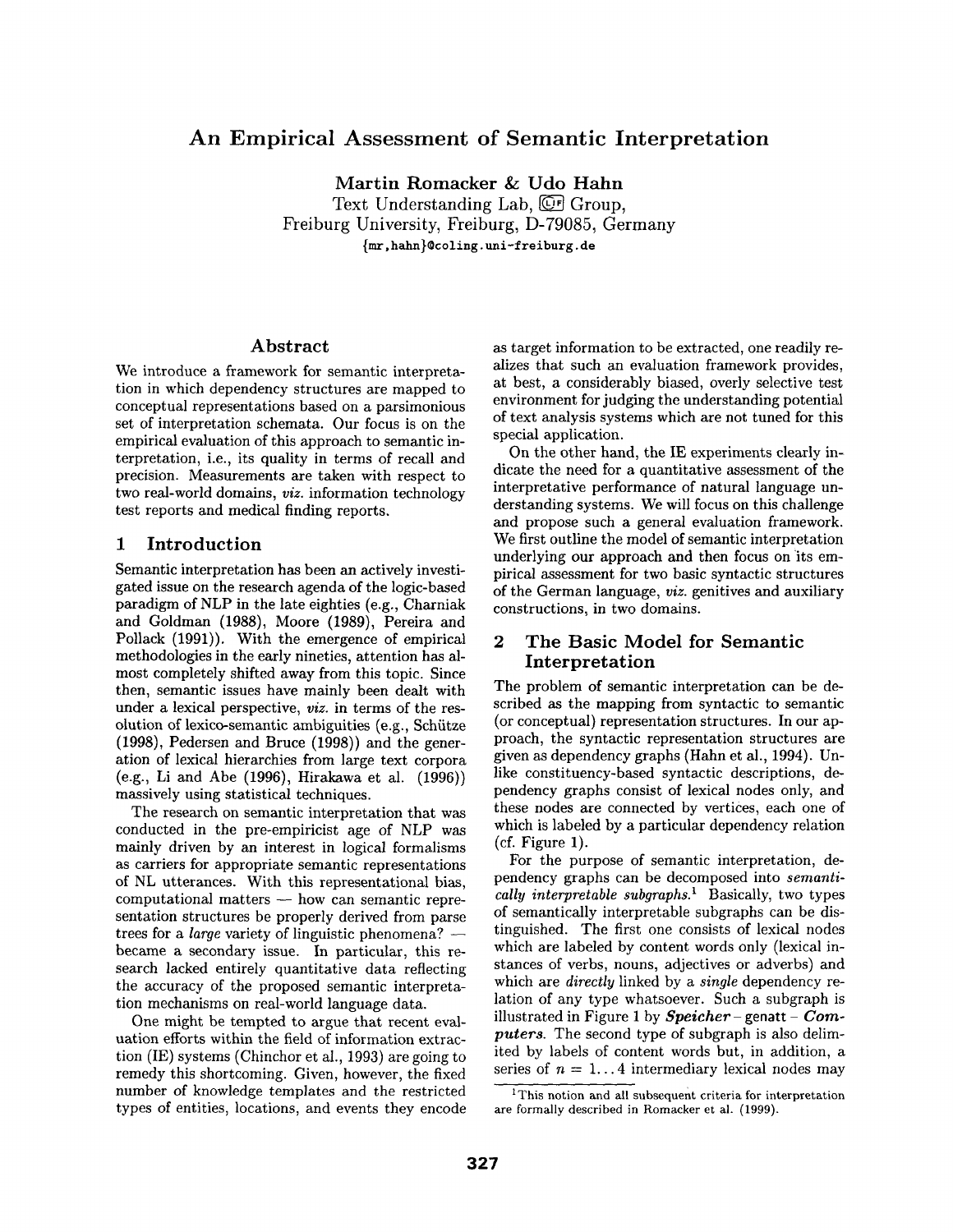# **An Empirical Assessment of Semantic Interpretation**

Martin Romacker &: Udo Hahn Text Understanding Lab,  $\overline{\mathbb{CP}}$  Group, Freiburg University, Freiburg, D-79085, Germany {mr, hahn}~coling, uni-freiburg, de

### Abstract

We introduce a framework for semantic interpretation in which dependency structures are mapped to conceptual representations based on a parsimonious set of interpretation schemata. Our focus is on the empirical evaluation of this approach to semantic interpretation, i.e., its quality in terms of recall and precision. Measurements are taken with respect to two real-world domains, *viz.* information technology test reports and medical finding reports.

### 1 **Introduction**

Semantic interpretation has been an actively investigated issue on the research agenda of the logic-based paradigm of NLP in the late eighties (e.g., Charniak and Goldman (1988), Moore (1989), Pereira and Pollack (1991)). With the emergence of empirical methodologies in the early nineties, attention has almost completely shifted away from this topic. Since then, semantic issues have mainly been dealt with under a lexical perspective, *viz.* in terms of the resolution of lexico-semantic ambiguities (e.g., Schütze (1998), Pedersen and Bruce (1998)) and the generation of lexical hierarchies from large text corpora (e.g., Li and Abe (1996), Hirakawa et al. (1996)) massively using statistical techniques.

The research on semantic interpretation that was conducted in the pre-empiricist age of NLP was mainly driven by an interest in logical formalisms as carriers for appropriate semantic representations of NL utterances. With this representational bias,  $computational$  matters  $-$  how can semantic representation structures be properly derived from parse trees for a *large* variety of linguistic phenomena? became a secondary issue. In particular, this research lacked entirely quantitative data reflecting the accuracy of the proposed semantic interpretation mechanisms on real-world language data.

One might be tempted to argue that recent evaluation efforts within the field of information extraction (IE) systems (Chinchor et al., 1993) are going to remedy this shortcoming. Given, however, the fixed number of knowledge templates and the restricted types of entities, locations, and events they encode as target information to be extracted, one readily realizes that such an evaluation framework provides, at best, a considerably biased, overly selective test environment for judging the understanding potential of text analysis systems which are not tuned for this special application.

On the other hand, the IE experiments clearly indicate the need for a quantitative assessment of the interpretative performance of natural language understanding systems. We will focus on this challenge and propose such a general evaluation framework. We first outline the model of semantic interpretation underlying our approach and then focus on 'its empirical assessment for two basic syntactic structures of the German language, *viz.* genitives and auxiliary constructions, in two domains.

## 2 The Basic Model for Semantic **Interpretation**

The problem of semantic interpretation can be described as the mapping from syntactic to semantic (or conceptual) representation structures. In our approach, the syntactic representation structures are given as dependency graphs (Hahn et al., 1994). Unlike constituency-based syntactic descriptions, dependency graphs consist of lexical nodes only, and these nodes are connected by vertices, each one of which is labeled by a particular dependency relation (cf. Figure 1).

For the purpose of semantic interpretation, dependency graphs can be decomposed into *semantically interpretable subgraphs.*<sup>1</sup> Basically, two types of semantically interpretable subgraphs can be distinguished. The first one consists of lexical nodes which are labeled by content words only (lexical instances of verbs, nouns, adjectives or adverbs) and which are *directly* linked by a *single* dependency relation of any type whatsoever. Such a subgraph is illustrated in Figure 1 by *Speicher* – genatt – *Computers.* The second type of subgraph is also delimited by labels of content words but, in addition, a series of  $n = 1...4$  intermediary lexical nodes may

<sup>&</sup>lt;sup>1</sup>This notion and all subsequent criteria for interpretation **are** formally described in Romacker et al. (1999).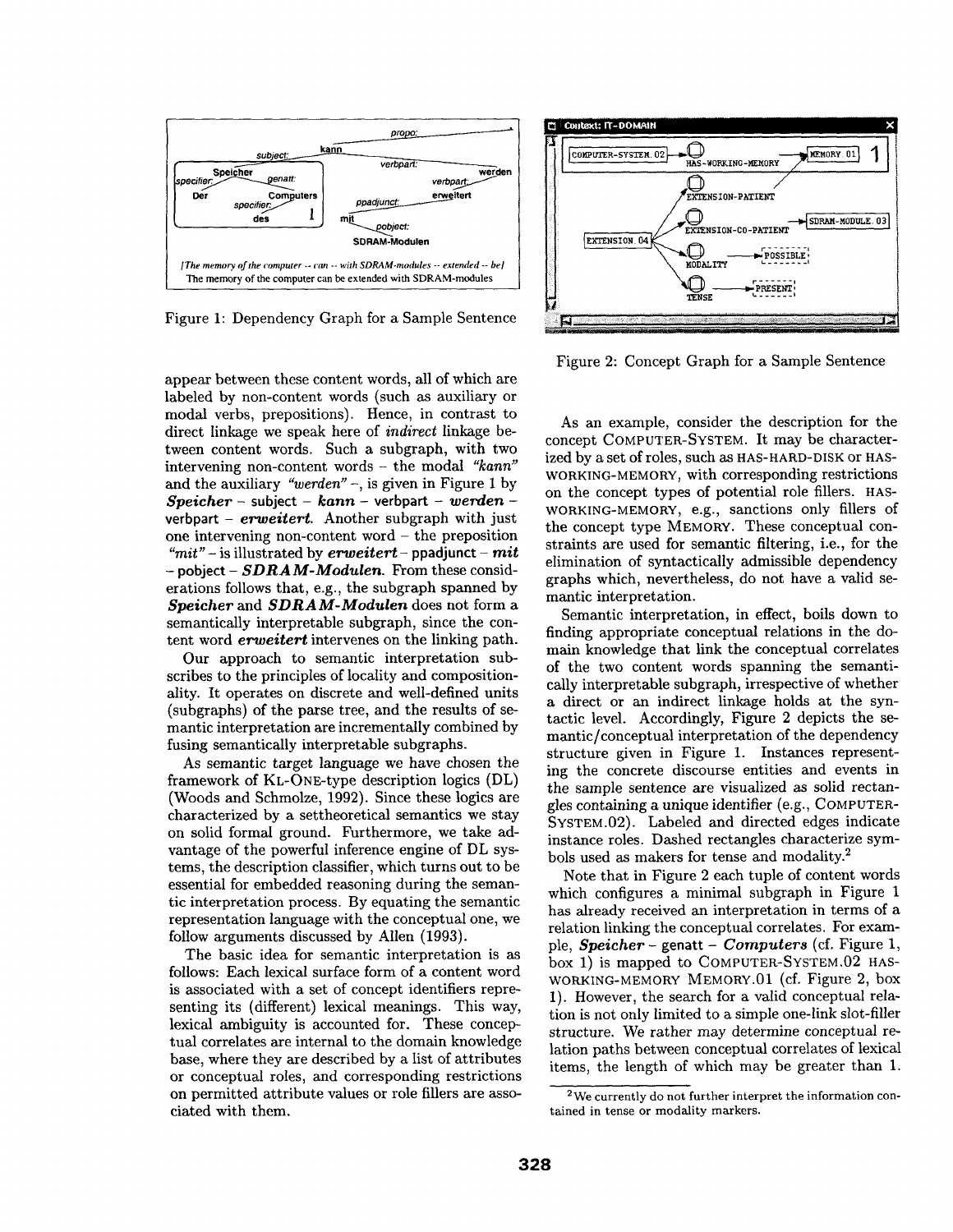

Figure 1: Dependency Graph for a Sample Sentence

appear between these content words, all of which are labeled by non-content words (such as auxiliary or modal verbs, prepositions). Hence, in contrast to direct linkage we speak here of *indirect* linkage between content words. Such a subgraph, with two intervening non-content words - the modal *"kann"*  and the auxiliary *"werden" -,* is given in Figure 1 by *Speieher-* subject - *kann-* verbpart - *werden*verbpart - *erweitert.* Another subgraph with just one intervening non-content word - the preposition  $m$ <sup>"</sup> – is illustrated by *erweitert* – ppadjunct – *mit* **-** pobject - *SDRAM-Modulen.* From these considerations follows that, e.g., the subgraph spanned by *Speieher* and *SDRAM-Modulen* does not form a semantically interpretable subgraph, since the content word *erweitert* intervenes on the linking path.

Our approach to semantic interpretation subscribes to the principles of locality and compositionality. It operates on discrete and well-defined units (subgraphs) of the parse tree, and the results of semantic interpretation are incrementally combined by fusing semantically interpretable subgraphs.

As semantic target language we have chosen the framework of KL-ONE-type description logics (DL) (Woods and Schmolze, 1992). Since these logics are characterized by a settheoretical semantics we stay on solid formal ground. Furthermore, we take advantage of the powerful inference engine of DL systems, the description classifier, which turns out to be essential for embedded reasoning during the semantic interpretation process. By equating the semantic representation language with the conceptual one, we follow arguments discussed by Allen (1993).

The basic idea for semantic interpretation is as follows: Each lexical surface form of a content word is associated with a set of concept identifiers representing its (different) lexical meanings. This way, lexical ambiguity is accounted for. These conceptual correlates are internal to the domain knowledge base, where they are described by a list of attributes or conceptual roles, and corresponding restrictions on permitted attribute values or role fillers are associated with them.



Figure 2: Concept Graph for a Sample Sentence

As an example, consider the description for the concept COMPUTER-SYSTEM. It may be characterized by a set of roles, such as HAS-HARD-DISK Or HAS-WORKING-MEMORY, with corresponding restrictions on the concept types of potential role fillers. HAS-WORKING-MEMORY, e.g., sanctions only fillers of the concept type MEMORY. These conceptual constraints are used for semantic filtering, i.e., for the elimination of syntactically admissible dependency graphs which, nevertheless, do not have a valid semantic interpretation.

Semantic interpretation, in effect, boils down to finding appropriate conceptual relations in the domain knowledge that link the conceptual correlates of the two content words spanning the semantically interpretable subgraph, irrespective of whether a direct or an indirect linkage holds at the syntactic level. Accordingly, Figure 2 depicts the semantic/conceptual interpretation of the dependency structure given in Figure 1. Instances representing the concrete discourse entities and events in the sample sentence are visualized as solid rectangles containing a unique identifier (e.g., COMPUTER-SYSTEM.02). Labeled and directed edges indicate instance roles. Dashed rectangles characterize symbols used as makers for tense and modality.<sup>2</sup>

Note that in Figure 2 each tuple of content words which configures a minimal subgraph in Figure 1 has already received an interpretation in terms of a relation linking the conceptual correlates. For example, *Speicher-* genatt - *Computers* (cf. Figure 1, box 1) is mapped to COMPUTER-SYSTEM.02 HAS-WORKING-MEMORY MEMORY.01 (cf. Figure 2, box 1). However, the search for a valid conceptual relation is not only limited to a simple one-link slot-filler structure. We rather may determine conceptual relation paths between conceptual correlates of lexical items, the length of which may be greater than 1.

<sup>2</sup>We currently do not further interpret the information contained in tense or modality markers.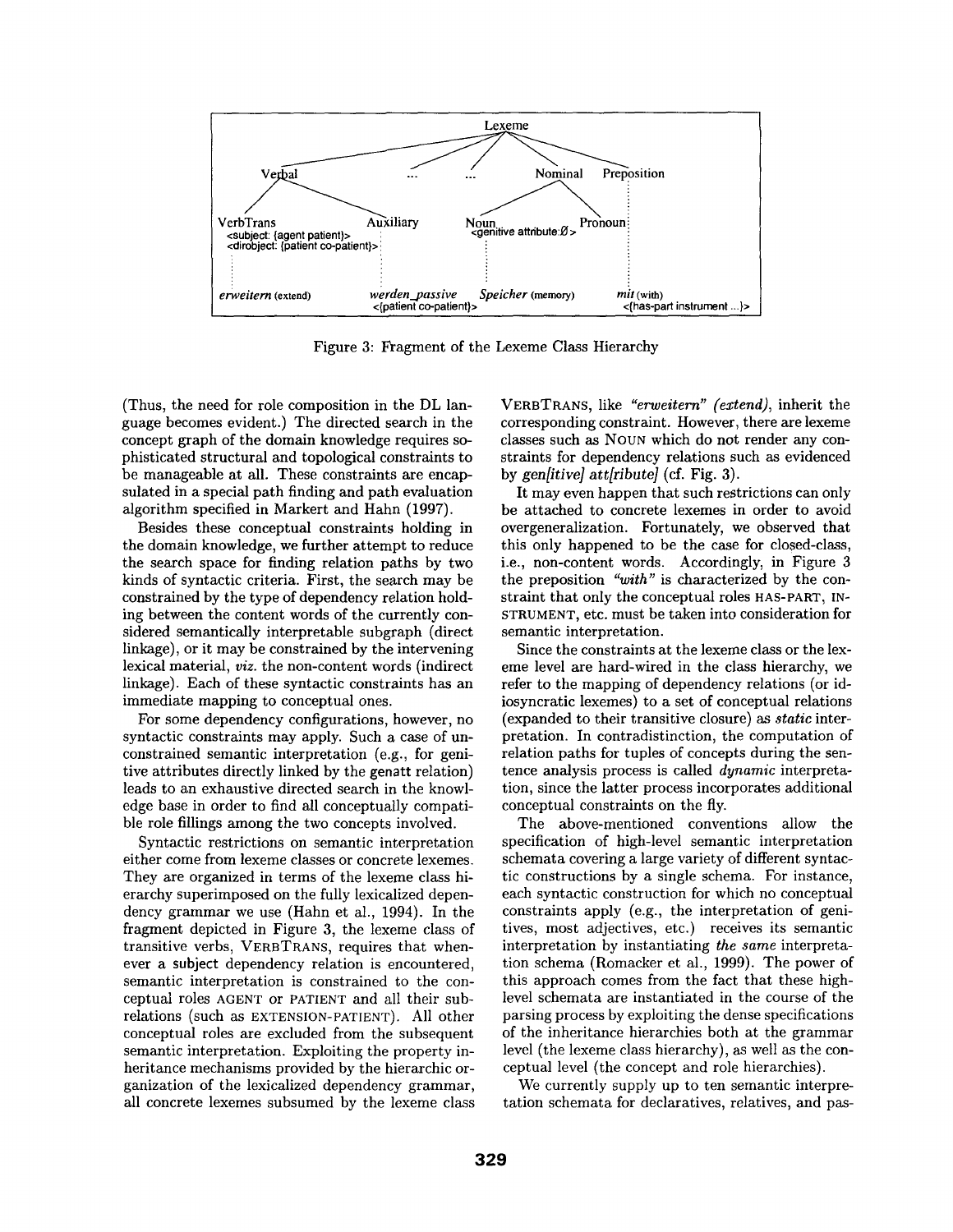

Figure 3: Fragment of the Lexeme Class Hierarchy

(Thus, the need for role composition in the DL language becomes evident.) The directed search in the concept graph of the domain knowledge requires sophisticated structural and topological constraints to be manageable at all. These constraints are encapsulated in a special path finding and path evaluation algorithm specified in Markert and Hahn (1997).

Besides these conceptual constraints holding in the domain knowledge, we further attempt to reduce the search space for finding relation paths by two kinds of syntactic criteria. First, the search may be constrained by the type of dependency relation holding between the content words of the currently considered semantically interpretable subgraph (direct linkage), or it may be constrained by the intervening lexical material, *viz.* the non-content words (indirect linkage). Each of these syntactic constraints has an immediate mapping to conceptual ones.

For some dependency configurations, however, no syntactic constraints may apply. Such a case of unconstrained semantic interpretation (e.g., for genitive attributes directly linked by the genatt relation) leads to an exhaustive directed search in the knowledge base in order to find all conceptually compatible role fillings among the two concepts involved.

Syntactic restrictions on semantic interpretation either come from lexeme classes or concrete lexemes. They are organized in terms of the lexeme class hierarchy superimposed on the fully lexicalized dependency grammar we use (Hahn et al., 1994). In the fragment depicted in Figure 3, the lexeme class of transitive verbs, VERBTRANS, requires that whenever a subject dependency relation is encountered, semantic interpretation is constrained to the conceptual roles AGENT or PATIENT and all their subrelations (such as EXTENSION-PATIENT). All other conceptual roles are excluded from the subsequent semantic interpretation. Exploiting the property inheritance mechanisms provided by the hierarchic organization of the lexicalized dependency grammar, all concrete lexemes subsumed by the lexeme class

VERBTRANS, like *"erweitern" (extend),* inherit the corresponding constraint. However, there are lexeme classes such as NOUN which do not render any constraints for dependency relations such as evidenced by *gen[itive] att[ribute]* (cf. Fig. 3).

It may even happen that such restrictions can only be attached to concrete lexemes in order to avoid overgeneralization. Fortunately, we observed that this only happened to be the case for closed-class, i.e., non-content words. Accordingly, in Figure 3 the preposition *"with"* is characterized by the constraint that only the conceptual roles HAS-PART, IN-STRUMENT, etc. must be taken into consideration for semantic interpretation.

Since the constraints at the lexeme class or the lexeme level are hard-wired in the class hierarchy, we refer to the mapping of dependency relations (or idiosyncratic lexemes) to a set of conceptual relations (expanded to their transitive closure) as *static* interpretation. In contradistinction, the computation of relation paths for tuples of concepts during the sentence analysis process is called *dynamic* interpretation, since the latter process incorporates additional conceptual constraints on the fly.

The above-mentioned conventions allow the specification of high-level semantic interpretation schemata covering a large variety of different syntactic constructions by a single schema. For instance, each syntactic construction for which no conceptual constraints apply (e.g., the interpretation of genitives, most adjectives, etc.) receives its semantic interpretation by instantiating *the same* interpretation schema (Romacker et al., 1999). The power of this approach comes from the fact that these highlevel schemata are instantiated in the course of the parsing process by exploiting the dense specifications of the inheritance hierarchies both at the grammar level (the lexeme class hierarchy), as well as the conceptual level (the concept and role hierarchies).

We currently supply up to ten semantic interpretation schemata for declaratives, relatives, and pas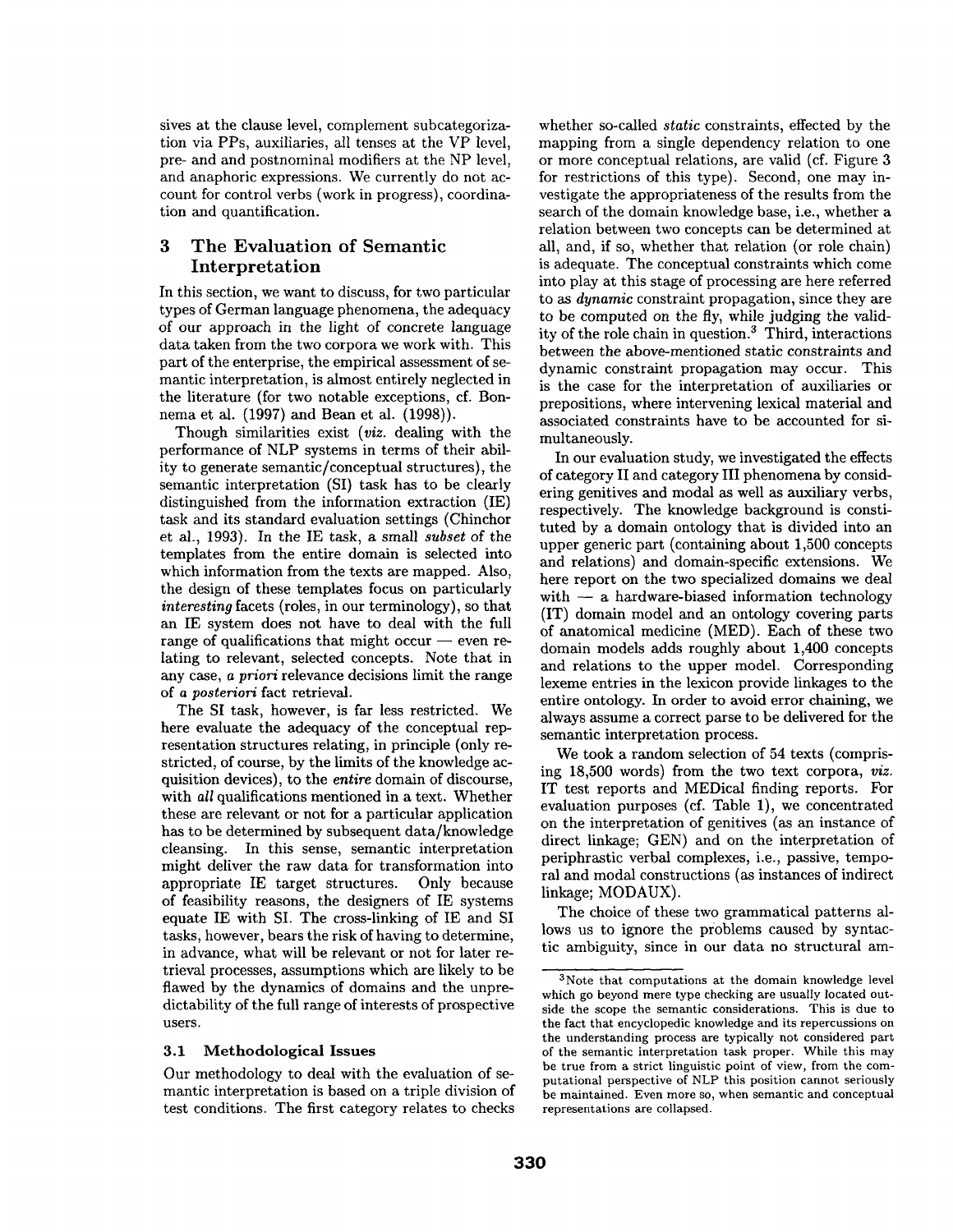sives at the clause level, complement subcategorization via PPs, auxiliaries, all tenses at the VP level, pre- and and postnominal modifiers at the NP level, and anaphoric expressions. We currently do not account for control verbs (work in progress), coordination and quantification.

## 3 The Evaluation of Semantic Interpretation

In this section, we want to discuss, for two particular types of German language phenomena, the adequacy of our approach in the light of concrete language data taken from the two corpora we work with. This part of the enterprise, the empirical assessment of semantic interpretation, is almost entirely neglected in the literature (for two notable exceptions, cf. Bonnema et al. (1997) and Bean et al. (1998)).

Though similarities exist *(viz.* dealing with the performance of NLP systems in terms of their ability to generate semantic/conceptual structures), the semantic interpretation (SI) task has to be clearly distinguished from the information extraction (IE) task and its standard evaluation settings (Chinchor et al., 1993). In the IE task, a small *subset* of the templates from the entire domain is selected into which information from the texts are mapped. Also, the design of these templates focus on particularly *interesting* facets (roles, in our terminology), so that an IE system does not have to deal with the full range of qualifications that might occur  $-$  even relating to relevant, selected concepts. Note that in any case, *a priori* relevance decisions limit the range of *a posteriori* fact retrieval.

The SI task, however, is far less restricted. We here evaluate the adequacy of the conceptual representation structures relating, in principle (only restricted, of course, by the limits of the knowledge acquisition devices), to the *entire* domain of discourse, with *all* qualifications mentioned in a text. Whether these are relevant or not for a particular application has to be determined by subsequent data/knowledge cleansing. In this sense, semantic interpretation might deliver the raw data for transformation into appropriate IE target structures. Only because of feasibility reasons, the designers of IE systems equate IE with SI. The cross-linking of IE and SI tasks, however, bears the risk of having to determine, in advance, what will be relevant or not for later retrieval processes, assumptions which are likely to be flawed by the dynamics of domains and the unpredictability of the full range of interests of prospective users.

#### 3.1 Methodological Issues

Our methodology to deal with the evaluation of semantic interpretation is based on a triple division of test conditions. The first category relates to checks whether so-called *static* constraints, effected by the mapping from a single dependency relation to one or more conceptual relations, are valid (cf. Figure 3 for restrictions of this type). Second, one may investigate the appropriateness of the results from the search of the domain knowledge base, i.e., whether a relation between two concepts can be determined at all, and, if so, whether that relation (or role chain) is adequate. The conceptual constraints which come into play at this stage of processing are here referred to as *dynamic* constraint propagation, since they are to be computed on the fly, while judging the validity of the role chain in question. 3 Third, interactions between the above-mentioned static constraints and dynamic constraint propagation may occur. This is the case for the interpretation of auxiliaries or prepositions, where intervening lexical material and associated constraints have to be accounted for simultaneously.

In our evaluation study, we investigated the effects of category II and category III phenomena by considering genitives and modal as well as auxiliary verbs, respectively. The knowledge background is constituted by a domain ontology that is divided into an upper generic part (containing about 1,500 concepts and relations) and domain-specific extensions. We here report on the two specialized domains we deal with  $-$  a hardware-biased information technology (IT) domain model and an ontology covering parts of anatomical medicine (MED). Each of these two domain models adds roughly about 1,400 concepts and relations to the upper model. Corresponding lexeme entries in the lexicon provide linkages to the entire ontology. In order to avoid error chaining, we always assume a correct parse to be delivered for the semantic interpretation process.

We took a random selection of 54 texts (comprising 18,500 words) from the two text corpora, *viz.*  IT test reports and MEDical finding reports. For evaluation purposes (cf. Table 1), we concentrated on the interpretation of genitives (as an instance of direct linkage; GEN) and on the interpretation of periphrastic verbal complexes, i.e., passive, temporal and modal constructions (as instances of indirect linkage; MODAUX).

The choice of these two grammatical patterns allows us to ignore the problems caused by syntactic ambiguity, since in our data no structural am-

<sup>3</sup>Note that computations at the domain knowledge level which go beyond mere type checking are usually located outside the scope the semantic considerations. This is due to the fact that encyclopedic knowledge and its repercussions on the understanding process are typically not considered part of the semantic interpretation task proper. While this may be true from a strict linguistic point of view, from the computational perspective of NLP this position cannot seriously be maintained. Even more so, when semantic and conceptual representations are collapsed.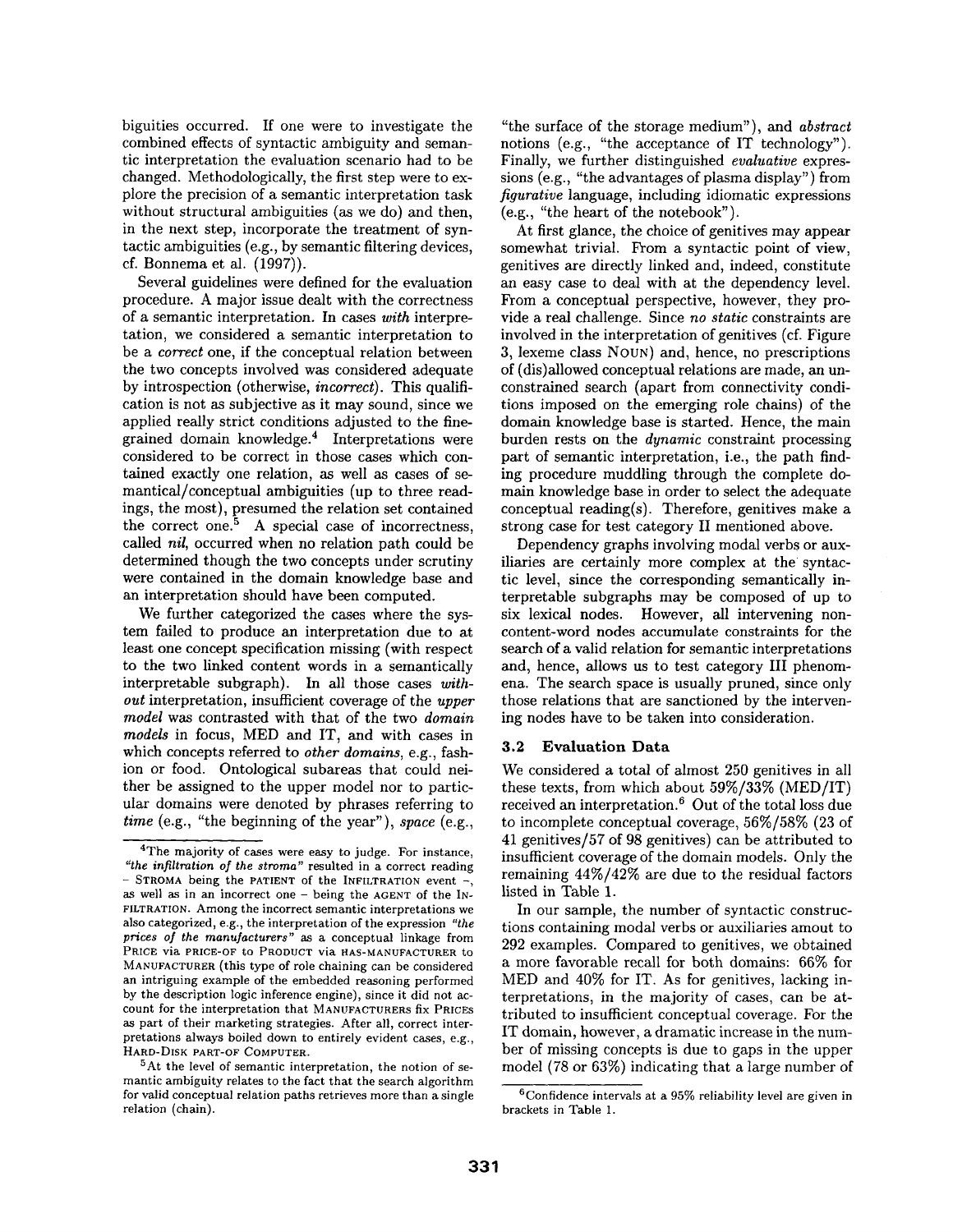biguities occurred. If one were to investigate the combined effects of syntactic ambiguity and semantic interpretation the evaluation scenario had to be changed. Methodologically, the first step were to explore the precision of a semantic interpretation task without structural ambiguities (as we do) and then, in the next step, incorporate the treatment of syntactic ambiguities (e.g., by semantic filtering devices, cf. Bonnema et al. (1997)).

Several guidelines were defined for the evaluation procedure. A major issue dealt with the correctness of a semantic interpretation. In cases *with* interpretation, we considered a semantic interpretation to be a *correct* one, if the conceptual relation between the two concepts involved was considered adequate by introspection (otherwise, *incorrect).* This qualification is not as subjective as it may sound, since we applied really strict conditions adjusted to the finegrained domain knowledge. 4 Interpretations were considered to be correct in those cases which contained exactly one relation, as well as cases of semantical/conceptual ambiguities (up to three readings, the most), presumed the relation set contained the correct one. $5$  A special case of incorrectness, called *nil,* occurred when no relation path could be determined though the two concepts under scrutiny were contained in the domain knowledge base and an interpretation should have been computed.

We further categorized the cases where the system failed to produce an interpretation due to at least one concept specification missing (with respect to the two linked content words in a semantically interpretable subgraph). In all those cases *without* interpretation, insufficient coverage of the *upper model* was contrasted with that of the two *domain models* in focus, MED and IT, and with cases in which concepts referred to *other domains,* e.g., fashion or food. Ontological subareas that could neither be assigned to the upper model nor to particular domains were denoted by phrases referring to *time* (e.g., "the beginning of the year"), *space* (e.g.,

"the surface of the storage medium"), and *abstract*  notions (e.g., "the acceptance of IT technology"). Finally, we further distinguished *evaluative* expressions (e.g., "the advantages of plasma display") from *figurative* language, including idiomatic expressions (e.g., "the heart of the notebook").

At first glance, the choice of genitives may appear somewhat trivial. From a syntactic point of view, genitives are directly linked and, indeed, constitute an easy case to deal with at the dependency level. From a conceptual perspective, however, they provide a real challenge. Since *no static* constraints are involved in the interpretation of genitives (cf. Figure 3, lexeme class NOUN) and, hence, no prescriptions of (dis)allowed conceptual relations are made, an unconstrained search (apart from connectivity conditions imposed on the emerging role chains) of the domain knowledge base is started. Hence, the main burden rests on the *dynamic* constraint processing part of semantic interpretation, i.e., the path finding procedure muddling through the complete domain knowledge base in order to select the adequate conceptual reading(s). Therefore, genitives make a strong case for test category II mentioned above.

Dependency graphs involving modal verbs or auxiliaries are certainly more complex at the syntactic level, since the corresponding semantically interpretable subgraphs may be composed of up to six lexical nodes. However, all intervening noncontent-word nodes accumulate constraints for the search of a valid relation for semantic interpretations and, hence, allows us to test category III phenomena. The search space is usually pruned, since only those relations that are sanctioned by the intervening nodes have to be taken into consideration.

#### 3.2 Evaluation Data

We considered a total of almost 250 genitives in all these texts, from which about 59%/33% (MED/IT) received an interpretation. 6 Out of the total loss due to incomplete conceptual coverage, 56%/58% (23 of 41 genitives/57 of 98 genitives) can be attributed to insufficient coverage of the domain models. Only the remaining 44%/42% are due to the residual factors listed in Table 1.

In our sample, the number of syntactic constructions containing modal verbs or auxiliaries amout to 292 examples. Compared to genitives, we obtained a more favorable recall for both domains: 66% for MED and 40% for IT. As for genitives, lacking interpretations, in the majority of cases, can be attributed to insufficient conceptual coverage. For the IT domain, however, a dramatic increase in the number of missing concepts is due to gaps in the upper model (78 or 63%) indicating that a large number of

<sup>&</sup>lt;sup>4</sup>The majority of cases were easy to judge. For instance, *"the infiltration of the stroma"* resulted in a correct reading  $-$  STROMA being the PATIENT of the INFILTRATION event  $-$ , as well as in an incorrect one - being the AGENT of the IN-FILTRATION. Among the incorrect semantic interpretations we also categorized, e.g., the interpretation of the expression *"the prices of the manufacturers"* as a conceptual linkage from PRICE via PRICE-OF to PRODUCT via HAS-MANUFACTURER to MANUFACTURER (this type of role chaining can be considered an intriguing example of the embedded reasoning performed by the description logic inference engine), since it did not account for the interpretation that MANUFACTURERS fix PRICES as part of their marketing strategies. After all, correct interpretations always boiled down to entirely evident cases, e.g., HARD-DISK PART-OF COMPUTER.

<sup>&</sup>lt;sup>5</sup>At the level of semantic interpretation, the notion of semantic ambiguity relates to the fact that the search algorithm for valid conceptual relation paths retrieves more than a single relation (chain).

 $6$ Confidence intervals at a 95% reliability level are given in brackets in Table 1.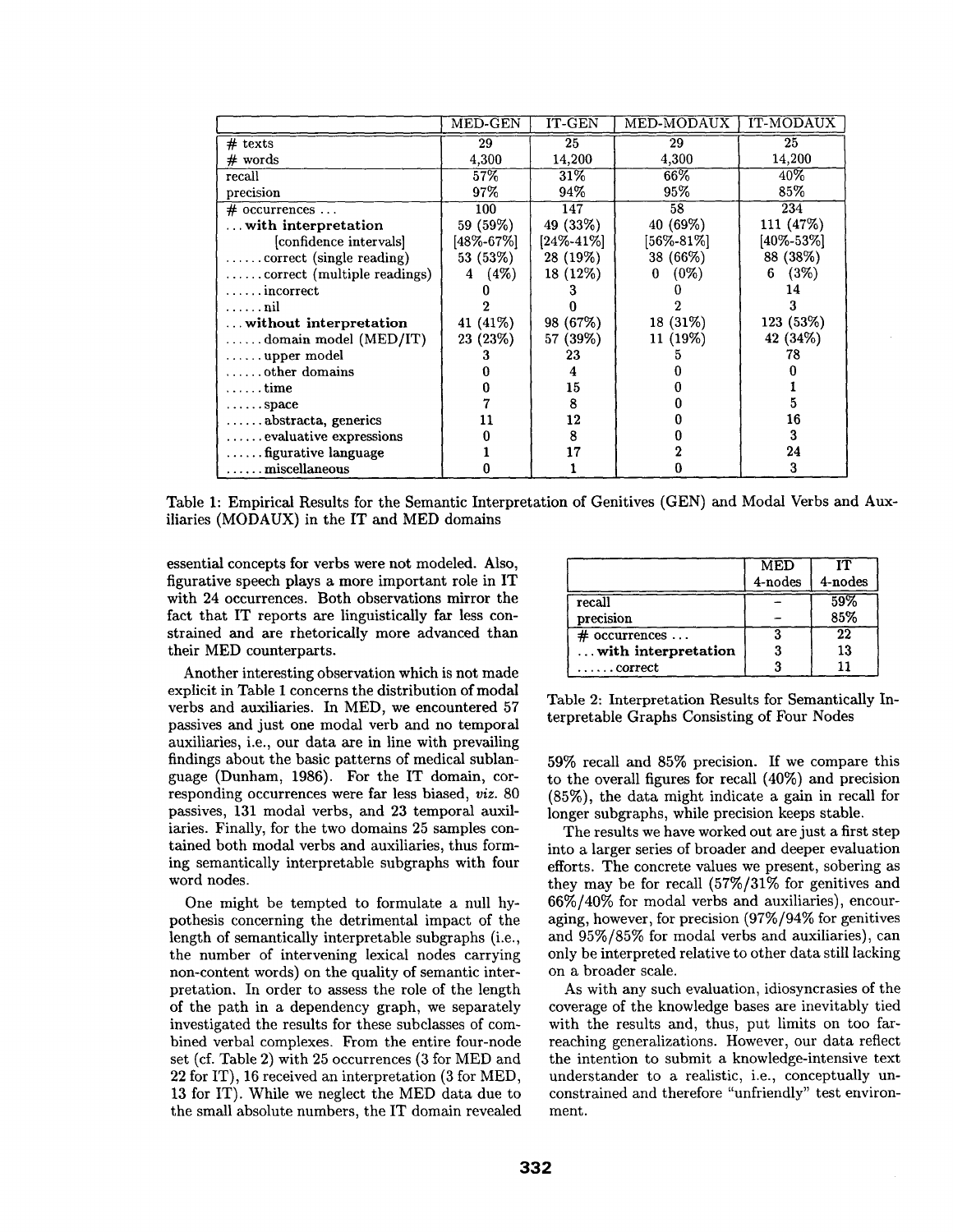|                                  | MED-GEN   | IT-GEN    | MED-MODAUX   | IT-MODAUX       |
|----------------------------------|-----------|-----------|--------------|-----------------|
| $#$ texts                        | 29        | 25        | 29           | $\overline{25}$ |
| $#$ words                        | 4,300     | 14,200    | 4,300        | 14,200          |
| recall                           | 57%       | 31%       | 66%          | $40\%$          |
| precision                        | 97%       | 94%       | 95%          | $85\%$          |
| $\#$ occurrences                 | 100       | 147       | 58           | 234             |
| $\dots$ with interpretation      | 59 (59%)  | 49 (33%)  | 40 (69%)     | 111 (47%)       |
| [confidence intervals]           | [48%-67%] | [24%-41%] | [56%-81%]    | [40%-53%]       |
| correct (single reading)         | 53 (53%)  | 28 (19%)  | 38 (66%)     | 88 (38%)        |
|                                  | (4%)<br>4 | 18 (12%)  | $(0\%)$<br>0 | (3%)<br>6       |
| . incorrect                      |           |           |              | 14              |
| . <b>n</b> il                    |           |           |              |                 |
| without interpretation           | 41 (41\%) | 98 (67%)  | 18 (31%)     | 123 (53%)       |
| $\ldots$ . domain model (MED/IT) | 23 (23%)  | 57 (39%)  | 11 (19%)     | 42 (34%)        |
| $\ldots$ upper model             |           | 23        |              | 78              |
| $\ldots$ other domains           |           |           |              |                 |
| . time                           |           | 15        |              |                 |
| $\ldots$ space                   |           | 8         |              |                 |
| $\ldots$ . abstracta, generics   | 11        | 12        |              | 16              |
| $\dots$ evaluative expressions   |           | 8         |              | 3               |
| figurative language              |           | 17        |              | 24              |
| $\ldots \ldots$ miscellaneous    |           |           |              | 3               |

Table 1: Empirical Results for the Semantic Interpretation of Genitives (GEN) and Modal Verbs and Auxiliaries (MODAUX) in the IT and MED domains

essential concepts for verbs were not modeled. Also, figurative speech plays a more important role in IT with 24 occurrences. Both observations mirror the fact that IT reports are linguistically far less constrained and are rhetorically more advanced than their MED counterparts.

Another interesting observation which is not made explicit in Table 1 concerns the distribution of modal verbs and auxiliaries. In MED, we encountered 57 passives and just one modal verb and no temporal auxiliaries, i.e., our data are in line with prevailing findings about the basic patterns of medical sublanguage (Dunham, 1986). For the IT domain, corresponding occurrences were far less biased, *viz.* 80 passives, 131 modal verbs, and 23 temporal auxiliaries. Finally, for the two domains 25 samples contained both modal verbs and auxiliaries, thus forming semantically interpretable subgraphs with four word nodes.

One might be tempted to formulate a null hypothesis concerning the detrimental impact of the length of semantically interpretable subgraphs (i.e., the number of intervening lexical nodes carrying non-content words) on the quality of semantic interpretation. In order to assess the role of the length of the path in a dependency graph, we separately investigated the results for these subclasses of combined verbal complexes. From the entire four-node set (cf. Table 2) with 25 occurrences (3 for MED and 22 for IT), 16 received an interpretation (3 for MED, 13 for IT). While we neglect the MED data due to the small absolute numbers, the IT domain revealed

|                          | <b>MED</b> | тπ      |
|--------------------------|------------|---------|
|                          | 4-nodes    | 4-nodes |
| recall                   |            | 59%     |
| precision                |            | 85%     |
| $\#$ occurrences $\dots$ |            | 22      |
| with interpretation      |            | 13      |
| $\ldots$ . correct       |            |         |

Table 2: Interpretation Results for Semantically Interpretable Graphs Consisting of Four Nodes

59% recall and 85% precision. If we compare this to the overall figures for recall (40%) and precision (85%), the data might indicate a gain in recall for longer subgraphs, while precision keeps stable.

The results we have worked out are just a first step into a larger series of broader and deeper evaluation efforts. The concrete values we present, sobering as they may be for recall (57%/31% for genitives and 66%/40% for modal verbs and auxiliaries), encouraging, however, for precision (97%/94% for genitives and 95%/85% for modal verbs and auxiliaries), can only be interpreted relative to other data still lacking on a broader scale.

As with any such evaluation, idiosyncrasies of the coverage of the knowledge bases are inevitably tied with the results and, thus, put limits on too farreaching generalizations. However, our data reflect the intention to submit a knowledge-intensive text understander to a realistic, i.e., conceptually unconstrained and therefore "unfriendly" test environment.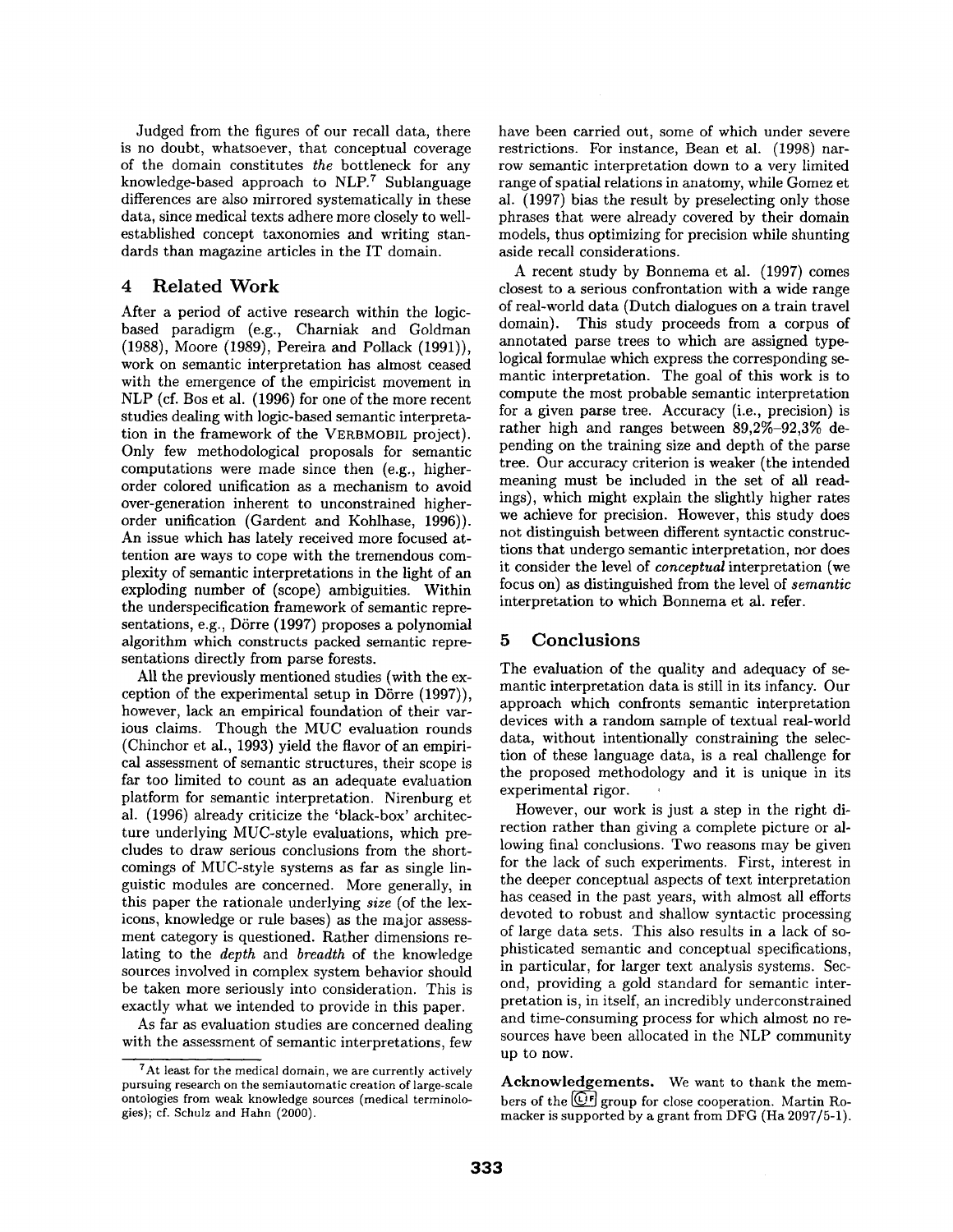Judged from the figures of our recall data, there is no doubt, whatsoever, that conceptual coverage of the domain constitutes *the* bottleneck for any knowledge-based approach to  $NLP$ . Sublanguage differences are also mirrored systematically in these data, since medical texts adhere more closely to wellestablished concept taxonomies and writing standards than magazine articles in the IT domain.

## 4 Related Work

After a period of active research within the logicbased paradigm (e.g., Charniak and Goldman (1988), Moore (1989), Pereira and Pollack (1991)), work on semantic interpretation has almost ceased with the emergence of the empiricist movement in NLP (cf. Bos et al. (1996) for one of the more recent studies dealing with logic-based semantic interpretation in the framework of the VERBMOBIL project). Only few methodological proposals for semantic computations were made since then (e.g., higherorder colored unification as a mechanism to avoid over-generation inherent to unconstrained higherorder unification (Gardent and Kohlhase, 1996)). An issue which has lately received more focused attention are ways to cope with the tremendous complexity of semantic interpretations in the light of an exploding number of (scope) ambiguities. Within the underspecification framework of semantic representations, e.g., Dörre (1997) proposes a polynomial algorithm which constructs packed semantic representations directly from parse forests.

All the previously mentioned studies (with the exception of the experimental setup in Dörre  $(1997)$ ), however, lack an empirical foundation of their various claims. Though the MUC evaluation rounds (Chinchor et al., 1993) yield the flavor of an empirical assessment of semantic structures, their scope is far too limited to count as an adequate evaluation platform for semantic interpretation. Nirenburg et al. (1996) already criticize the 'black-box' architecture underlying MUC-style evaluations, which precludes to draw serious conclusions from the shortcomings of MUC-style systems as far as single linguistic modules are concerned. More generally, in this paper the rationale underlying *size* (of the lexicons, knowledge or rule bases) as the major assessment category is questioned. Rather dimensions relating to the *depth* and *breadth* of the knowledge sources involved in complex system behavior should be taken more seriously into consideration. This is exactly what we intended to provide in this paper.

As far as evaluation studies are concerned dealing with the assessment of semantic interpretations, few have been carried out, some of which under severe restrictions. For instance, Bean et al. (1998) narrow semantic interpretation down to a very limited range of spatial relations in anatomy, while Gomez et al. (1997) bias the result by preselecting only those phrases that were already covered by their domain models, thus optimizing for precision while shunting aside recall considerations.

A recent study by Bonnema et al. (1997) comes closest to a serious confrontation with a wide range of real-world data (Dutch dialogues on a train travel domain). This study proceeds from a corpus of annotated parse trees to which are assigned typelogical formulae which express the corresponding semantic interpretation. The goal of this work is to compute the most probable semantic interpretation for a given parse tree. Accuracy (i.e., precision) is rather high and ranges between 89,2%-92,3% depending on the training size and depth of the parse tree. Our accuracy criterion is weaker (the intended meaning must be included in the set of all readings), which might explain the slightly higher rates we achieve for precision. However, this study does not distinguish between different syntactic constructions that undergo semantic interpretation, nor does it consider the level of *conceptual* interpretation (we focus on) as distinguished from the level of *semantic*  interpretation to which Bonnema et al. refer.

## 5 Conclusions

The evaluation of the quality and adequacy of semantic interpretation data is still in its infancy. Our approach which confronts semantic interpretation devices with a random sample of textual real-world data, without intentionally constraining the selection of these language data, is a real challenge for the proposed methodology and it is unique in its experimental rigor.

However, our work is just a step in the right direction rather than giving a complete picture or allowing final conclusions. Two reasons may be given for the lack of such experiments. First, interest in the deeper conceptual aspects of text interpretation has ceased in the past years, with almost all efforts devoted to robust and shallow syntactic processing of large data sets. This also results in a lack of sophisticated semantic and conceptual specifications, in particular, for larger text analysis systems. Second, providing a gold standard for semantic interpretation is, in itself, an incredibly underconstrained and time-consuming process for which almost no resources have been allocated in the NLP community up to now.

Acknowledgements. We want to thank the members of the  $\overline{{\mathbb{C}}^{\dagger}}$  group for close cooperation. Martin Romacker is supported by a grant from DFG (Ha 2097/5-1).

<sup>7</sup>At least for the medical domain, we are currently actively pursuing research on the semiautomatic creation of large-scale ontologies from weak knowledge sources (medical terminologies); cf. Schulz and Hahn (2000).